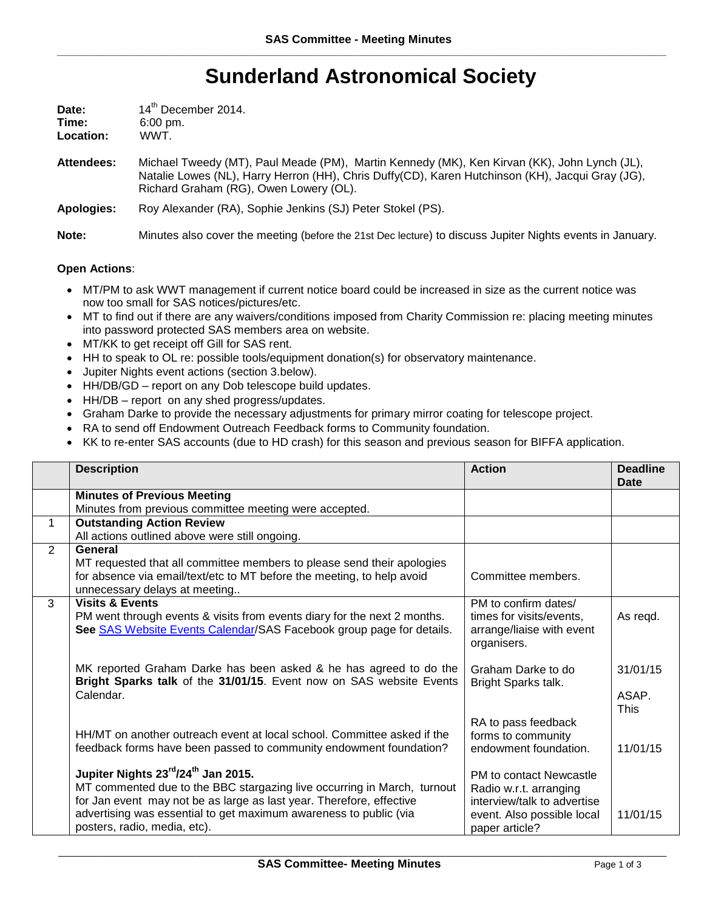## **Sunderland Astronomical Society**

| Date:     | 14 <sup>th</sup> December 2014. |
|-----------|---------------------------------|
| Time:     | $6:00 \text{ pm}$ .             |
| Location: | WWT.                            |

**Attendees:** Michael Tweedy (MT), Paul Meade (PM), Martin Kennedy (MK), Ken Kirvan (KK), John Lynch (JL), Natalie Lowes (NL), Harry Herron (HH), Chris Duffy(CD), Karen Hutchinson (KH), Jacqui Gray (JG), Richard Graham (RG), Owen Lowery (OL).

**Apologies:** Roy Alexander (RA), Sophie Jenkins (SJ) Peter Stokel (PS).

**Note:** Minutes also cover the meeting (before the 21st Dec lecture) to discuss Jupiter Nights events in January.

## **Open Actions**:

- MT/PM to ask WWT management if current notice board could be increased in size as the current notice was now too small for SAS notices/pictures/etc.
- MT to find out if there are any waivers/conditions imposed from Charity Commission re: placing meeting minutes into password protected SAS members area on website.
- MT/KK to get receipt off Gill for SAS rent.
- HH to speak to OL re: possible tools/equipment donation(s) for observatory maintenance.
- Jupiter Nights event actions (section 3.below).
- HH/DB/GD report on any Dob telescope build updates.
- HH/DB report on any shed progress/updates.
- Graham Darke to provide the necessary adjustments for primary mirror coating for telescope project.
- RA to send off Endowment Outreach Feedback forms to Community foundation.
- KK to re-enter SAS accounts (due to HD crash) for this season and previous season for BIFFA application.

|   | <b>Description</b>                                                                                      | <b>Action</b>               | <b>Deadline</b><br>Date |
|---|---------------------------------------------------------------------------------------------------------|-----------------------------|-------------------------|
|   | <b>Minutes of Previous Meeting</b>                                                                      |                             |                         |
|   | Minutes from previous committee meeting were accepted.                                                  |                             |                         |
| 1 | <b>Outstanding Action Review</b>                                                                        |                             |                         |
|   | All actions outlined above were still ongoing.                                                          |                             |                         |
| 2 | General                                                                                                 |                             |                         |
|   | MT requested that all committee members to please send their apologies                                  |                             |                         |
|   | for absence via email/text/etc to MT before the meeting, to help avoid<br>unnecessary delays at meeting | Committee members.          |                         |
| 3 | <b>Visits &amp; Events</b>                                                                              | PM to confirm dates/        |                         |
|   | PM went through events & visits from events diary for the next 2 months.                                | times for visits/events,    | As regd.                |
|   | See SAS Website Events Calendar/SAS Facebook group page for details.                                    | arrange/liaise with event   |                         |
|   |                                                                                                         | organisers.                 |                         |
|   | MK reported Graham Darke has been asked & he has agreed to do the                                       | Graham Darke to do          | 31/01/15                |
|   | Bright Sparks talk of the 31/01/15. Event now on SAS website Events                                     | Bright Sparks talk.         |                         |
|   | Calendar.                                                                                               |                             | ASAP.                   |
|   |                                                                                                         |                             | <b>This</b>             |
|   |                                                                                                         | RA to pass feedback         |                         |
|   | HH/MT on another outreach event at local school. Committee asked if the                                 | forms to community          |                         |
|   | feedback forms have been passed to community endowment foundation?                                      | endowment foundation.       | 11/01/15                |
|   | Jupiter Nights 23 <sup>rd</sup> /24 <sup>th</sup> Jan 2015.                                             | PM to contact Newcastle     |                         |
|   | MT commented due to the BBC stargazing live occurring in March, turnout                                 | Radio w.r.t. arranging      |                         |
|   | for Jan event may not be as large as last year. Therefore, effective                                    | interview/talk to advertise |                         |
|   | advertising was essential to get maximum awareness to public (via                                       | event. Also possible local  | 11/01/15                |
|   | posters, radio, media, etc).                                                                            | paper article?              |                         |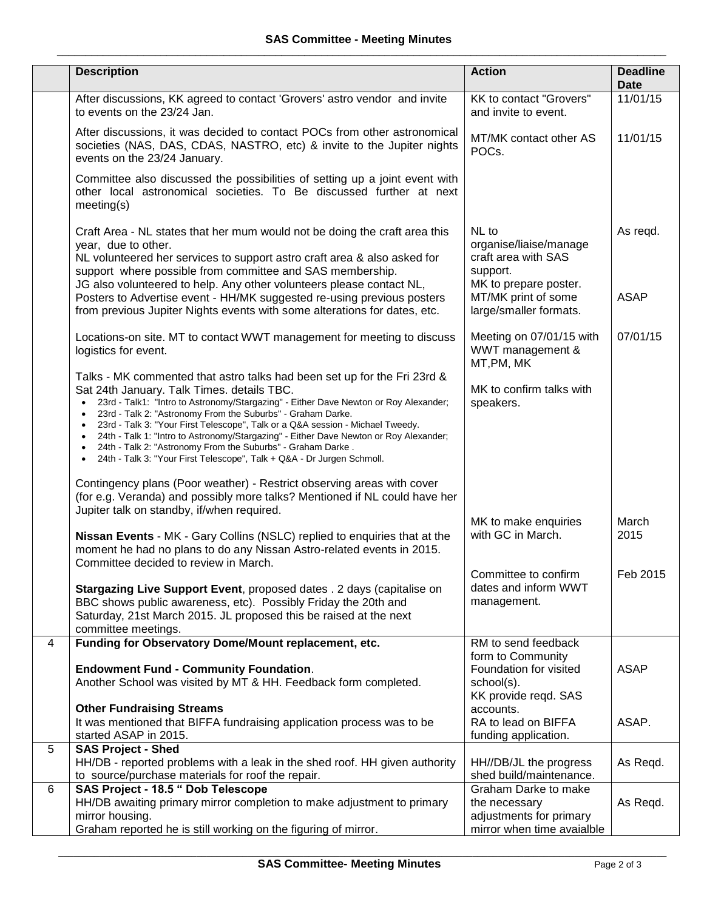|   | <b>Description</b>                                                                                                                                                                                                                                                                                                                                                                                                                                                                                                                                                                                             | <b>Action</b>                                                                                                                                | <b>Deadline</b><br><b>Date</b> |
|---|----------------------------------------------------------------------------------------------------------------------------------------------------------------------------------------------------------------------------------------------------------------------------------------------------------------------------------------------------------------------------------------------------------------------------------------------------------------------------------------------------------------------------------------------------------------------------------------------------------------|----------------------------------------------------------------------------------------------------------------------------------------------|--------------------------------|
|   | After discussions, KK agreed to contact 'Grovers' astro vendor and invite<br>to events on the 23/24 Jan.                                                                                                                                                                                                                                                                                                                                                                                                                                                                                                       | KK to contact "Grovers"<br>and invite to event.                                                                                              | 11/01/15                       |
|   | After discussions, it was decided to contact POCs from other astronomical<br>societies (NAS, DAS, CDAS, NASTRO, etc) & invite to the Jupiter nights<br>events on the 23/24 January.                                                                                                                                                                                                                                                                                                                                                                                                                            | MT/MK contact other AS<br>POCs.                                                                                                              | 11/01/15                       |
|   | Committee also discussed the possibilities of setting up a joint event with<br>other local astronomical societies. To Be discussed further at next<br>meeting(s)                                                                                                                                                                                                                                                                                                                                                                                                                                               |                                                                                                                                              |                                |
|   | Craft Area - NL states that her mum would not be doing the craft area this<br>year, due to other.<br>NL volunteered her services to support astro craft area & also asked for<br>support where possible from committee and SAS membership.<br>JG also volunteered to help. Any other volunteers please contact NL,<br>Posters to Advertise event - HH/MK suggested re-using previous posters<br>from previous Jupiter Nights events with some alterations for dates, etc.                                                                                                                                      | NL to<br>organise/liaise/manage<br>craft area with SAS<br>support.<br>MK to prepare poster.<br>MT/MK print of some<br>large/smaller formats. | As regd.<br><b>ASAP</b>        |
|   | Locations-on site. MT to contact WWT management for meeting to discuss<br>logistics for event.                                                                                                                                                                                                                                                                                                                                                                                                                                                                                                                 | Meeting on 07/01/15 with<br>WWT management &<br>MT, PM, MK                                                                                   | 07/01/15                       |
|   | Talks - MK commented that astro talks had been set up for the Fri 23rd &<br>Sat 24th January. Talk Times. details TBC.<br>23rd - Talk1: "Intro to Astronomy/Stargazing" - Either Dave Newton or Roy Alexander;<br>$\bullet$<br>23rd - Talk 2: "Astronomy From the Suburbs" - Graham Darke.<br>23rd - Talk 3: "Your First Telescope", Talk or a Q&A session - Michael Tweedy.<br>24th - Talk 1: "Intro to Astronomy/Stargazing" - Either Dave Newton or Roy Alexander;<br>24th - Talk 2: "Astronomy From the Suburbs" - Graham Darke.<br>24th - Talk 3: "Your First Telescope", Talk + Q&A - Dr Jurgen Schmoll. | MK to confirm talks with<br>speakers.                                                                                                        |                                |
|   | Contingency plans (Poor weather) - Restrict observing areas with cover<br>(for e.g. Veranda) and possibly more talks? Mentioned if NL could have her<br>Jupiter talk on standby, if/when required.                                                                                                                                                                                                                                                                                                                                                                                                             |                                                                                                                                              |                                |
|   | Nissan Events - MK - Gary Collins (NSLC) replied to enquiries that at the<br>moment he had no plans to do any Nissan Astro-related events in 2015.<br>Committee decided to review in March.                                                                                                                                                                                                                                                                                                                                                                                                                    | MK to make enquiries<br>with GC in March.                                                                                                    | March<br>2015                  |
|   | Stargazing Live Support Event, proposed dates . 2 days (capitalise on<br>BBC shows public awareness, etc). Possibly Friday the 20th and<br>Saturday, 21st March 2015. JL proposed this be raised at the next<br>committee meetings.                                                                                                                                                                                                                                                                                                                                                                            | Committee to confirm<br>dates and inform WWT<br>management.                                                                                  | Feb 2015                       |
| 4 | Funding for Observatory Dome/Mount replacement, etc.                                                                                                                                                                                                                                                                                                                                                                                                                                                                                                                                                           | RM to send feedback                                                                                                                          |                                |
|   | <b>Endowment Fund - Community Foundation.</b><br>Another School was visited by MT & HH. Feedback form completed.                                                                                                                                                                                                                                                                                                                                                                                                                                                                                               | form to Community<br>Foundation for visited<br>school(s).<br>KK provide regd. SAS                                                            | <b>ASAP</b>                    |
|   | <b>Other Fundraising Streams</b><br>It was mentioned that BIFFA fundraising application process was to be<br>started ASAP in 2015.                                                                                                                                                                                                                                                                                                                                                                                                                                                                             | accounts.<br>RA to lead on BIFFA<br>funding application.                                                                                     | ASAP.                          |
| 5 | <b>SAS Project - Shed</b><br>HH/DB - reported problems with a leak in the shed roof. HH given authority<br>to source/purchase materials for roof the repair.                                                                                                                                                                                                                                                                                                                                                                                                                                                   | HH//DB/JL the progress<br>shed build/maintenance.                                                                                            | As Regd.                       |
| 6 | SAS Project - 18.5 " Dob Telescope<br>HH/DB awaiting primary mirror completion to make adjustment to primary<br>mirror housing.<br>Graham reported he is still working on the figuring of mirror.                                                                                                                                                                                                                                                                                                                                                                                                              | Graham Darke to make<br>the necessary<br>adjustments for primary<br>mirror when time avaialble                                               | As Regd.                       |

\_\_\_\_\_\_\_\_\_\_\_\_\_\_\_\_\_\_\_\_\_\_\_\_\_\_\_\_\_\_\_\_\_\_\_\_\_\_\_\_\_\_\_\_\_\_\_\_\_\_\_\_\_\_\_\_\_\_\_\_\_\_\_\_\_\_\_\_\_\_\_\_\_\_\_\_\_\_\_\_\_\_\_\_\_\_\_\_\_\_\_\_\_\_\_\_\_\_\_\_\_\_\_\_\_\_\_\_\_\_\_\_\_\_\_\_\_\_\_